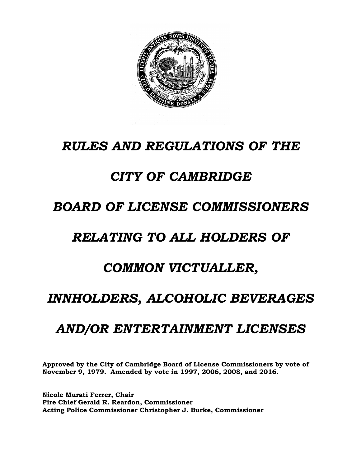

# *RULES AND REGULATIONS OF THE*

# *CITY OF CAMBRIDGE*

# *BOARD OF LICENSE COMMISSIONERS*

# *RELATING TO ALL HOLDERS OF*

# *COMMON VICTUALLER,*

# *INNHOLDERS, ALCOHOLIC BEVERAGES*

# *AND/OR ENTERTAINMENT LICENSES*

**Approved by the City of Cambridge Board of License Commissioners by vote of November 9, 1979. Amended by vote in 1997, 2006, 2008, and 2016.** 

**Nicole Murati Ferrer, Chair Fire Chief Gerald R. Reardon, Commissioner Acting Police Commissioner Christopher J. Burke, Commissioner**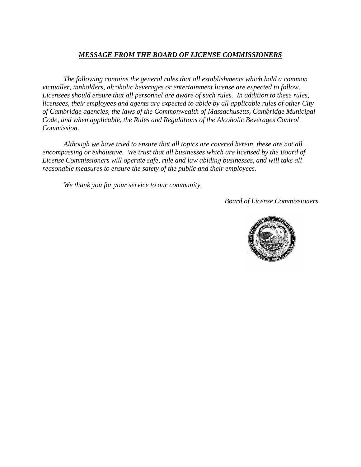#### *MESSAGE FROM THE BOARD OF LICENSE COMMISSIONERS*

*The following contains the general rules that all establishments which hold a common victualler, innholders, alcoholic beverages or entertainment license are expected to follow. Licensees should ensure that all personnel are aware of such rules. In addition to these rules, licensees, their employees and agents are expected to abide by all applicable rules of other City of Cambridge agencies, the laws of the Commonwealth of Massachusetts, Cambridge Municipal Code, and when applicable, the Rules and Regulations of the Alcoholic Beverages Control Commission.*

*Although we have tried to ensure that all topics are covered herein, these are not all encompassing or exhaustive. We trust that all businesses which are licensed by the Board of License Commissioners will operate safe, rule and law abiding businesses, and will take all reasonable measures to ensure the safety of the public and their employees.* 

*We thank you for your service to our community.*

*Board of License Commissioners*

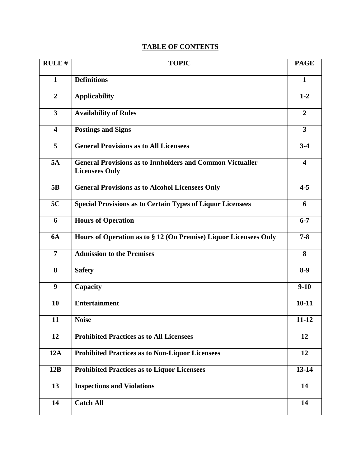## **TABLE OF CONTENTS**

| <b>RULE#</b>            | <b>TOPIC</b>                                                                              | <b>PAGE</b>             |
|-------------------------|-------------------------------------------------------------------------------------------|-------------------------|
| $\mathbf{1}$            | <b>Definitions</b>                                                                        | $\mathbf{1}$            |
| $\overline{2}$          | <b>Applicability</b>                                                                      | $1 - 2$                 |
| 3                       | <b>Availability of Rules</b>                                                              | $\overline{2}$          |
| $\overline{\mathbf{4}}$ | <b>Postings and Signs</b>                                                                 | $\mathbf{3}$            |
| 5                       | <b>General Provisions as to All Licensees</b>                                             | $3-4$                   |
| 5A                      | <b>General Provisions as to Innholders and Common Victualler</b><br><b>Licensees Only</b> | $\overline{\mathbf{4}}$ |
| 5B                      | <b>General Provisions as to Alcohol Licensees Only</b>                                    | $4 - 5$                 |
| 5C                      | <b>Special Provisions as to Certain Types of Liquor Licensees</b>                         | 6                       |
| 6                       | <b>Hours of Operation</b>                                                                 | $6 - 7$                 |
| <b>6A</b>               | Hours of Operation as to § 12 (On Premise) Liquor Licensees Only                          | $7 - 8$                 |
| 7                       | <b>Admission to the Premises</b>                                                          | 8                       |
| 8                       | <b>Safety</b>                                                                             | $8-9$                   |
| $\boldsymbol{9}$        | Capacity                                                                                  | $9-10$                  |
| 10                      | <b>Entertainment</b>                                                                      | $10 - 11$               |
| 11                      | <b>Noise</b>                                                                              | 11-12                   |
| 12                      | <b>Prohibited Practices as to All Licensees</b>                                           | 12                      |
| 12A                     | <b>Prohibited Practices as to Non-Liquor Licensees</b>                                    | 12                      |
| 12B                     | <b>Prohibited Practices as to Liquor Licensees</b>                                        | $13 - 14$               |
| 13                      | <b>Inspections and Violations</b>                                                         | 14                      |
| 14                      | <b>Catch All</b>                                                                          | 14                      |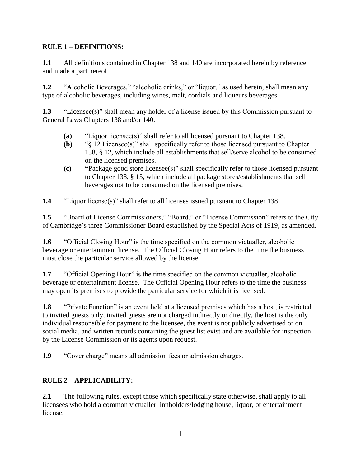#### **RULE 1 – DEFINITIONS:**

**1.1** All definitions contained in Chapter 138 and 140 are incorporated herein by reference and made a part hereof.

**1.2** "Alcoholic Beverages," "alcoholic drinks," or "liquor," as used herein, shall mean any type of alcoholic beverages, including wines, malt, cordials and liqueurs beverages.

**1.3** "Licensee(s)" shall mean any holder of a license issued by this Commission pursuant to General Laws Chapters 138 and/or 140.

- **(a)** "Liquor licensee(s)" shall refer to all licensed pursuant to Chapter 138.
- **(b)** "§ 12 Licensee(s)" shall specifically refer to those licensed pursuant to Chapter 138, § 12, which include all establishments that sell/serve alcohol to be consumed on the licensed premises.
- **(c) "**Package good store licensee(s)" shall specifically refer to those licensed pursuant to Chapter 138, § 15, which include all package stores/establishments that sell beverages not to be consumed on the licensed premises.

**1.4** "Liquor license(s)" shall refer to all licenses issued pursuant to Chapter 138.

**1.5** "Board of License Commissioners," "Board," or "License Commission" refers to the City of Cambridge's three Commissioner Board established by the Special Acts of 1919, as amended.

**1.6** "Official Closing Hour" is the time specified on the common victualler, alcoholic beverage or entertainment license. The Official Closing Hour refers to the time the business must close the particular service allowed by the license.

**1.7** "Official Opening Hour" is the time specified on the common victualler, alcoholic beverage or entertainment license. The Official Opening Hour refers to the time the business may open its premises to provide the particular service for which it is licensed.

**1.8** "Private Function" is an event held at a licensed premises which has a host, is restricted to invited guests only, invited guests are not charged indirectly or directly, the host is the only individual responsible for payment to the licensee, the event is not publicly advertised or on social media, and written records containing the guest list exist and are available for inspection by the License Commission or its agents upon request.

**1.9** "Cover charge" means all admission fees or admission charges.

## **RULE 2 – APPLICABILITY:**

**2.1** The following rules, except those which specifically state otherwise, shall apply to all licensees who hold a common victualler, innholders/lodging house, liquor, or entertainment license.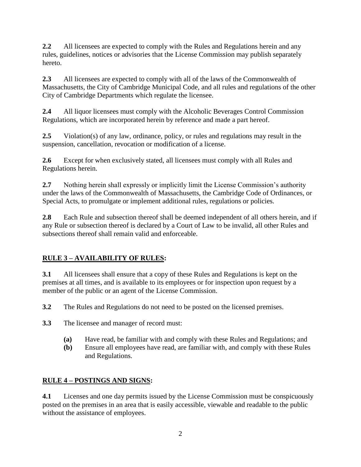**2.2** All licensees are expected to comply with the Rules and Regulations herein and any rules, guidelines, notices or advisories that the License Commission may publish separately hereto.

**2.3** All licensees are expected to comply with all of the laws of the Commonwealth of Massachusetts, the City of Cambridge Municipal Code, and all rules and regulations of the other City of Cambridge Departments which regulate the licensee.

**2.4** All liquor licensees must comply with the Alcoholic Beverages Control Commission Regulations, which are incorporated herein by reference and made a part hereof.

**2.5** Violation(s) of any law, ordinance, policy, or rules and regulations may result in the suspension, cancellation, revocation or modification of a license.

**2.6** Except for when exclusively stated, all licensees must comply with all Rules and Regulations herein.

**2.7** Nothing herein shall expressly or implicitly limit the License Commission's authority under the laws of the Commonwealth of Massachusetts, the Cambridge Code of Ordinances, or Special Acts, to promulgate or implement additional rules, regulations or policies.

**2.8** Each Rule and subsection thereof shall be deemed independent of all others herein, and if any Rule or subsection thereof is declared by a Court of Law to be invalid, all other Rules and subsections thereof shall remain valid and enforceable.

## **RULE 3 – AVAILABILITY OF RULES:**

**3.1** All licensees shall ensure that a copy of these Rules and Regulations is kept on the premises at all times, and is available to its employees or for inspection upon request by a member of the public or an agent of the License Commission.

**3.2** The Rules and Regulations do not need to be posted on the licensed premises.

- **3.3** The licensee and manager of record must:
	- **(a)** Have read, be familiar with and comply with these Rules and Regulations; and
	- **(b)** Ensure all employees have read, are familiar with, and comply with these Rules and Regulations.

### **RULE 4 – POSTINGS AND SIGNS:**

**4.1** Licenses and one day permits issued by the License Commission must be conspicuously posted on the premises in an area that is easily accessible, viewable and readable to the public without the assistance of employees.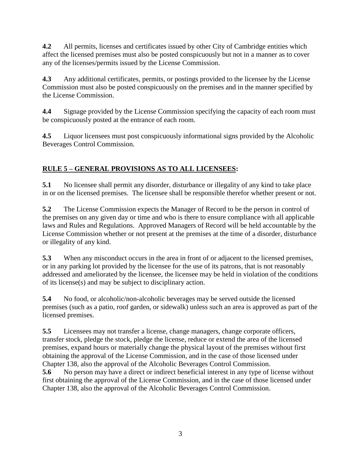**4.2** All permits, licenses and certificates issued by other City of Cambridge entities which affect the licensed premises must also be posted conspicuously but not in a manner as to cover any of the licenses/permits issued by the License Commission.

**4.3** Any additional certificates, permits, or postings provided to the licensee by the License Commission must also be posted conspicuously on the premises and in the manner specified by the License Commission.

**4.4** Signage provided by the License Commission specifying the capacity of each room must be conspicuously posted at the entrance of each room.

**4.5** Liquor licensees must post conspicuously informational signs provided by the Alcoholic Beverages Control Commission.

## **RULE 5 – GENERAL PROVISIONS AS TO ALL LICENSEES:**

**5.1** No licensee shall permit any disorder, disturbance or illegality of any kind to take place in or on the licensed premises. The licensee shall be responsible therefor whether present or not.

**5.2** The License Commission expects the Manager of Record to be the person in control of the premises on any given day or time and who is there to ensure compliance with all applicable laws and Rules and Regulations. Approved Managers of Record will be held accountable by the License Commission whether or not present at the premises at the time of a disorder, disturbance or illegality of any kind.

**5.3** When any misconduct occurs in the area in front of or adjacent to the licensed premises, or in any parking lot provided by the licensee for the use of its patrons, that is not reasonably addressed and ameliorated by the licensee, the licensee may be held in violation of the conditions of its license(s) and may be subject to disciplinary action.

**5.4** No food, or alcoholic/non-alcoholic beverages may be served outside the licensed premises (such as a patio, roof garden, or sidewalk) unless such an area is approved as part of the licensed premises.

**5.5** Licensees may not transfer a license, change managers, change corporate officers, transfer stock, pledge the stock, pledge the license, reduce or extend the area of the licensed premises, expand hours or materially change the physical layout of the premises without first obtaining the approval of the License Commission, and in the case of those licensed under Chapter 138, also the approval of the Alcoholic Beverages Control Commission.

**5.6** No person may have a direct or indirect beneficial interest in any type of license without first obtaining the approval of the License Commission, and in the case of those licensed under Chapter 138, also the approval of the Alcoholic Beverages Control Commission.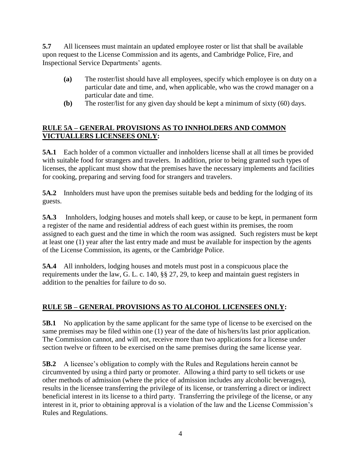**5.7** All licensees must maintain an updated employee roster or list that shall be available upon request to the License Commission and its agents, and Cambridge Police, Fire, and Inspectional Service Departments' agents.

- **(a)** The roster/list should have all employees, specify which employee is on duty on a particular date and time, and, when applicable, who was the crowd manager on a particular date and time.
- **(b)** The roster/list for any given day should be kept a minimum of sixty (60) days.

#### **RULE 5A – GENERAL PROVISIONS AS TO INNHOLDERS AND COMMON VICTUALLERS LICENSEES ONLY:**

**5A.1** Each holder of a common victualler and innholders license shall at all times be provided with suitable food for strangers and travelers. In addition, prior to being granted such types of licenses, the applicant must show that the premises have the necessary implements and facilities for cooking, preparing and serving food for strangers and travelers.

**5A.2** Innholders must have upon the premises suitable beds and bedding for the lodging of its guests.

**5A.3** Innholders, lodging houses and motels shall keep, or cause to be kept, in permanent form a register of the name and residential address of each guest within its premises, the room assigned to each guest and the time in which the room was assigned. Such registers must be kept at least one (1) year after the last entry made and must be available for inspection by the agents of the License Commission, its agents, or the Cambridge Police.

**5A.4** All innholders, lodging houses and motels must post in a conspicuous place the requirements under the law, G. L. c. 140, §§ 27, 29, to keep and maintain guest registers in addition to the penalties for failure to do so.

### **RULE 5B – GENERAL PROVISIONS AS TO ALCOHOL LICENSEES ONLY:**

**5B.1** No application by the same applicant for the same type of license to be exercised on the same premises may be filed within one (1) year of the date of his/hers/its last prior application. The Commission cannot, and will not, receive more than two applications for a license under section twelve or fifteen to be exercised on the same premises during the same license year.

**5B.2** A licensee's obligation to comply with the Rules and Regulations herein cannot be circumvented by using a third party or promoter. Allowing a third party to sell tickets or use other methods of admission (where the price of admission includes any alcoholic beverages), results in the licensee transferring the privilege of its license, or transferring a direct or indirect beneficial interest in its license to a third party. Transferring the privilege of the license, or any interest in it, prior to obtaining approval is a violation of the law and the License Commission's Rules and Regulations.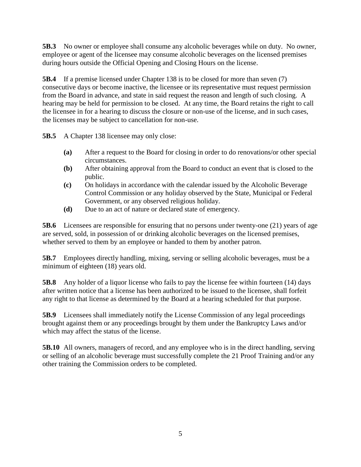**5B.3** No owner or employee shall consume any alcoholic beverages while on duty. No owner, employee or agent of the licensee may consume alcoholic beverages on the licensed premises during hours outside the Official Opening and Closing Hours on the license.

**5B.4** If a premise licensed under Chapter 138 is to be closed for more than seven (7) consecutive days or become inactive, the licensee or its representative must request permission from the Board in advance, and state in said request the reason and length of such closing. A hearing may be held for permission to be closed. At any time, the Board retains the right to call the licensee in for a hearing to discuss the closure or non-use of the license, and in such cases, the licenses may be subject to cancellation for non-use.

**5B.5** A Chapter 138 licensee may only close:

- **(a)** After a request to the Board for closing in order to do renovations/or other special circumstances.
- **(b)** After obtaining approval from the Board to conduct an event that is closed to the public.
- **(c)** On holidays in accordance with the calendar issued by the Alcoholic Beverage Control Commission or any holiday observed by the State, Municipal or Federal Government, or any observed religious holiday.
- **(d)** Due to an act of nature or declared state of emergency.

**5B.6** Licensees are responsible for ensuring that no persons under twenty-one (21) years of age are served, sold, in possession of or drinking alcoholic beverages on the licensed premises, whether served to them by an employee or handed to them by another patron.

**5B.7** Employees directly handling, mixing, serving or selling alcoholic beverages, must be a minimum of eighteen (18) years old.

**5B.8** Any holder of a liquor license who fails to pay the license fee within fourteen (14) days after written notice that a license has been authorized to be issued to the licensee, shall forfeit any right to that license as determined by the Board at a hearing scheduled for that purpose.

**5B.9** Licensees shall immediately notify the License Commission of any legal proceedings brought against them or any proceedings brought by them under the Bankruptcy Laws and/or which may affect the status of the license.

**5B.10** All owners, managers of record, and any employee who is in the direct handling, serving or selling of an alcoholic beverage must successfully complete the 21 Proof Training and/or any other training the Commission orders to be completed.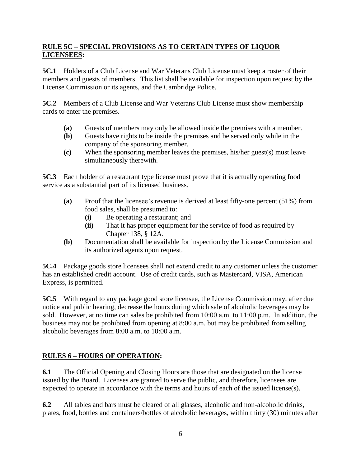#### **RULE 5C – SPECIAL PROVISIONS AS TO CERTAIN TYPES OF LIQUOR LICENSEES:**

**5C.1** Holders of a Club License and War Veterans Club License must keep a roster of their members and guests of members. This list shall be available for inspection upon request by the License Commission or its agents, and the Cambridge Police.

**5C.2** Members of a Club License and War Veterans Club License must show membership cards to enter the premises.

- **(a)** Guests of members may only be allowed inside the premises with a member.
- **(b)** Guests have rights to be inside the premises and be served only while in the company of the sponsoring member.
- **(c)** When the sponsoring member leaves the premises, his/her guest(s) must leave simultaneously therewith.

**5C.3** Each holder of a restaurant type license must prove that it is actually operating food service as a substantial part of its licensed business.

- **(a)** Proof that the licensee's revenue is derived at least fifty-one percent (51%) from food sales, shall be presumed to:
	- **(i)** Be operating a restaurant; and
	- **(ii)** That it has proper equipment for the service of food as required by Chapter 138, § 12A.
- **(b)** Documentation shall be available for inspection by the License Commission and its authorized agents upon request.

**5C.4** Package goods store licensees shall not extend credit to any customer unless the customer has an established credit account. Use of credit cards, such as Mastercard, VISA, American Express, is permitted.

**5C.5** With regard to any package good store licensee, the License Commission may, after due notice and public hearing, decrease the hours during which sale of alcoholic beverages may be sold. However, at no time can sales be prohibited from 10:00 a.m. to 11:00 p.m. In addition, the business may not be prohibited from opening at 8:00 a.m. but may be prohibited from selling alcoholic beverages from 8:00 a.m. to 10:00 a.m.

### **RULES 6 – HOURS OF OPERATION:**

**6.1** The Official Opening and Closing Hours are those that are designated on the license issued by the Board. Licenses are granted to serve the public, and therefore, licensees are expected to operate in accordance with the terms and hours of each of the issued license(s).

**6.2** All tables and bars must be cleared of all glasses, alcoholic and non-alcoholic drinks, plates, food, bottles and containers/bottles of alcoholic beverages, within thirty (30) minutes after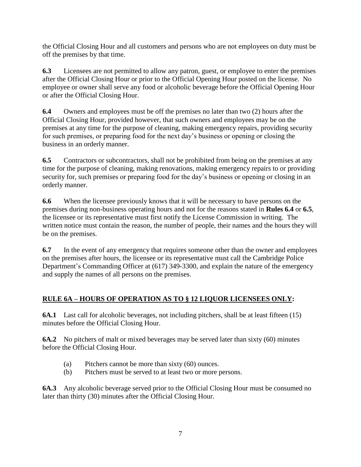the Official Closing Hour and all customers and persons who are not employees on duty must be off the premises by that time.

**6.3** Licensees are not permitted to allow any patron, guest, or employee to enter the premises after the Official Closing Hour or prior to the Official Opening Hour posted on the license. No employee or owner shall serve any food or alcoholic beverage before the Official Opening Hour or after the Official Closing Hour.

**6.4** Owners and employees must be off the premises no later than two (2) hours after the Official Closing Hour, provided however, that such owners and employees may be on the premises at any time for the purpose of cleaning, making emergency repairs, providing security for such premises, or preparing food for the next day's business or opening or closing the business in an orderly manner.

**6.5** Contractors or subcontractors, shall not be prohibited from being on the premises at any time for the purpose of cleaning, making renovations, making emergency repairs to or providing security for, such premises or preparing food for the day's business or opening or closing in an orderly manner.

**6.6** When the licensee previously knows that it will be necessary to have persons on the premises during non-business operating hours and not for the reasons stated in **Rules 6.4** or **6.5**, the licensee or its representative must first notify the License Commission in writing. The written notice must contain the reason, the number of people, their names and the hours they will be on the premises.

**6.7** In the event of any emergency that requires someone other than the owner and employees on the premises after hours, the licensee or its representative must call the Cambridge Police Department's Commanding Officer at (617) 349-3300, and explain the nature of the emergency and supply the names of all persons on the premises.

### **RULE 6A – HOURS OF OPERATION AS TO § 12 LIQUOR LICENSEES ONLY:**

**6A.1** Last call for alcoholic beverages, not including pitchers, shall be at least fifteen (15) minutes before the Official Closing Hour.

**6A.2** No pitchers of malt or mixed beverages may be served later than sixty (60) minutes before the Official Closing Hour.

- (a) Pitchers cannot be more than sixty (60) ounces.
- (b) Pitchers must be served to at least two or more persons.

**6A.3** Any alcoholic beverage served prior to the Official Closing Hour must be consumed no later than thirty (30) minutes after the Official Closing Hour.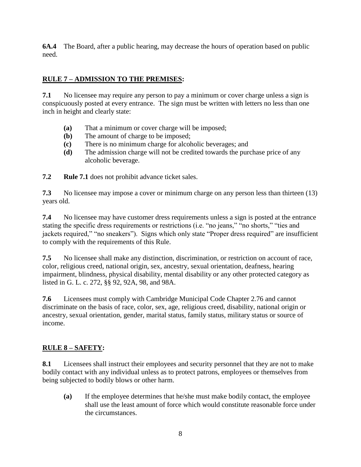**6A.4** The Board, after a public hearing, may decrease the hours of operation based on public need.

#### **RULE 7 – ADMISSION TO THE PREMISES:**

**7.1** No licensee may require any person to pay a minimum or cover charge unless a sign is conspicuously posted at every entrance. The sign must be written with letters no less than one inch in height and clearly state:

- **(a)** That a minimum or cover charge will be imposed;
- **(b)** The amount of charge to be imposed;
- **(c)** There is no minimum charge for alcoholic beverages; and
- **(d)** The admission charge will not be credited towards the purchase price of any alcoholic beverage.

**7.2 Rule 7.1** does not prohibit advance ticket sales.

**7.3** No licensee may impose a cover or minimum charge on any person less than thirteen (13) years old.

**7.4** No licensee may have customer dress requirements unless a sign is posted at the entrance stating the specific dress requirements or restrictions (i.e. "no jeans," "no shorts," "ties and jackets required," "no sneakers"). Signs which only state "Proper dress required" are insufficient to comply with the requirements of this Rule.

**7.5** No licensee shall make any distinction, discrimination, or restriction on account of race, color, religious creed, national origin, sex, ancestry, sexual orientation, deafness, hearing impairment, blindness, physical disability, mental disability or any other protected category as listed in G. L. c. 272, §§ 92, 92A, 98, and 98A.

**7.6** Licensees must comply with Cambridge Municipal Code Chapter 2.76 and cannot discriminate on the basis of race, color, sex, age, religious creed, disability, national origin or ancestry, sexual orientation, gender, marital status, family status, military status or source of income.

#### **RULE 8 – SAFETY:**

**8.1** Licensees shall instruct their employees and security personnel that they are not to make bodily contact with any individual unless as to protect patrons, employees or themselves from being subjected to bodily blows or other harm.

**(a)** If the employee determines that he/she must make bodily contact, the employee shall use the least amount of force which would constitute reasonable force under the circumstances.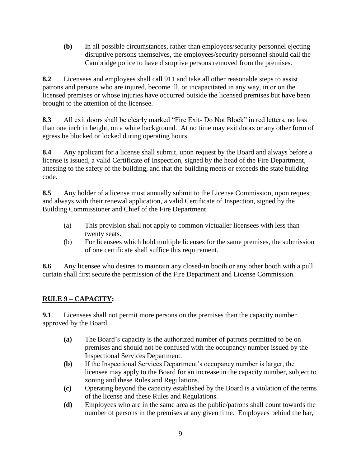**(b)** In all possible circumstances, rather than employees/security personnel ejecting disruptive persons themselves, the employees/security personnel should call the Cambridge police to have disruptive persons removed from the premises.

**8.2** Licensees and employees shall call 911 and take all other reasonable steps to assist patrons and persons who are injured, become ill, or incapacitated in any way, in or on the licensed premises or whose injuries have occurred outside the licensed premises but have been brought to the attention of the licensee.

**8.3** All exit doors shall be clearly marked "Fire Exit- Do Not Block" in red letters, no less than one inch in height, on a white background. At no time may exit doors or any other form of egress be blocked or locked during operating hours.

**8.4** Any applicant for a license shall submit, upon request by the Board and always before a license is issued, a valid Certificate of Inspection, signed by the head of the Fire Department, attesting to the safety of the building, and that the building meets or exceeds the state building code.

**8.5** Any holder of a license must annually submit to the License Commission, upon request and always with their renewal application, a valid Certificate of Inspection, signed by the Building Commissioner and Chief of the Fire Department.

- (a) This provision shall not apply to common victualler licensees with less than twenty seats.
- (b) For licensees which hold multiple licenses for the same premises, the submission of one certificate shall suffice this requirement.

**8.6** Any licensee who desires to maintain any closed-in booth or any other booth with a pull curtain shall first secure the permission of the Fire Department and License Commission.

### **RULE 9 – CAPACITY:**

**9.1** Licensees shall not permit more persons on the premises than the capacity number approved by the Board.

- **(a)** The Board's capacity is the authorized number of patrons permitted to be on premises and should not be confused with the occupancy number issued by the Inspectional Services Department.
- **(b)** If the Inspectional Services Department's occupancy number is larger, the licensee may apply to the Board for an increase in the capacity number, subject to zoning and these Rules and Regulations.
- **(c)** Operating beyond the capacity established by the Board is a violation of the terms of the license and these Rules and Regulations.
- **(d)** Employees who are in the same area as the public/patrons shall count towards the number of persons in the premises at any given time. Employees behind the bar,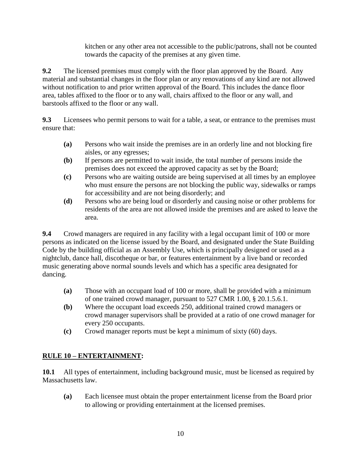kitchen or any other area not accessible to the public/patrons, shall not be counted towards the capacity of the premises at any given time.

**9.2** The licensed premises must comply with the floor plan approved by the Board. Any material and substantial changes in the floor plan or any renovations of any kind are not allowed without notification to and prior written approval of the Board. This includes the dance floor area, tables affixed to the floor or to any wall, chairs affixed to the floor or any wall, and barstools affixed to the floor or any wall.

**9.3** Licensees who permit persons to wait for a table, a seat, or entrance to the premises must ensure that:

- **(a)** Persons who wait inside the premises are in an orderly line and not blocking fire aisles, or any egresses;
- **(b)** If persons are permitted to wait inside, the total number of persons inside the premises does not exceed the approved capacity as set by the Board;
- **(c)** Persons who are waiting outside are being supervised at all times by an employee who must ensure the persons are not blocking the public way, sidewalks or ramps for accessibility and are not being disorderly; and
- **(d)** Persons who are being loud or disorderly and causing noise or other problems for residents of the area are not allowed inside the premises and are asked to leave the area.

**9.4** Crowd managers are required in any facility with a legal occupant limit of 100 or more persons as indicated on the license issued by the Board, and designated under the State Building Code by the building official as an Assembly Use, which is principally designed or used as a nightclub, dance hall, discotheque or bar, or features entertainment by a live band or recorded music generating above normal sounds levels and which has a specific area designated for dancing.

- **(a)** Those with an occupant load of 100 or more, shall be provided with a minimum of one trained crowd manager, pursuant to 527 CMR 1.00, § 20.1.5.6.1.
- **(b)** Where the occupant load exceeds 250, additional trained crowd managers or crowd manager supervisors shall be provided at a ratio of one crowd manager for every 250 occupants.
- **(c)** Crowd manager reports must be kept a minimum of sixty (60) days.

### **RULE 10 – ENTERTAINMENT:**

**10.1** All types of entertainment, including background music, must be licensed as required by Massachusetts law.

**(a)** Each licensee must obtain the proper entertainment license from the Board prior to allowing or providing entertainment at the licensed premises.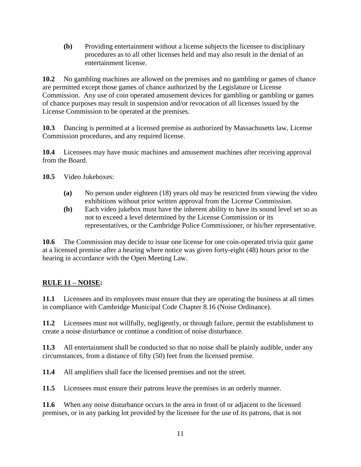**(b)** Providing entertainment without a license subjects the licensee to disciplinary procedures as to all other licenses held and may also result in the denial of an entertainment license.

**10.2** No gambling machines are allowed on the premises and no gambling or games of chance are permitted except those games of chance authorized by the Legislature or License Commission. Any use of coin operated amusement devices for gambling or gambling or games of chance purposes may result in suspension and/or revocation of all licenses issued by the License Commission to be operated at the premises.

**10.3** Dancing is permitted at a licensed premise as authorized by Massachusetts law, License Commission procedures, and any required license.

**10.4** Licensees may have music machines and amusement machines after receiving approval from the Board.

**10.5** Video Jukeboxes:

- **(a)** No person under eighteen (18) years old may be restricted from viewing the video exhibitions without prior written approval from the License Commission.
- **(b)** Each video jukebox must have the inherent ability to have its sound level set so as not to exceed a level determined by the License Commission or its representatives, or the Cambridge Police Commissioner, or his/her representative.

**10.6** The Commission may decide to issue one license for one coin-operated trivia quiz game at a licensed premise after a hearing where notice was given forty-eight (48) hours prior to the hearing in accordance with the Open Meeting Law.

### **RULE 11 – NOISE:**

**11.1** Licensees and its employees must ensure that they are operating the business at all times in compliance with Cambridge Municipal Code Chapter 8.16 (Noise Ordinance).

**11.2** Licensees must not willfully, negligently, or through failure, permit the establishment to create a noise disturbance or continue a condition of noise disturbance.

**11.3** All entertainment shall be conducted so that no noise shall be plainly audible, under any circumstances, from a distance of fifty (50) feet from the licensed premise.

**11.4** All amplifiers shall face the licensed premises and not the street.

**11.5** Licensees must ensure their patrons leave the premises in an orderly manner.

**11.6** When any noise disturbance occurs in the area in front of or adjacent to the licensed premises, or in any parking lot provided by the licensee for the use of its patrons, that is not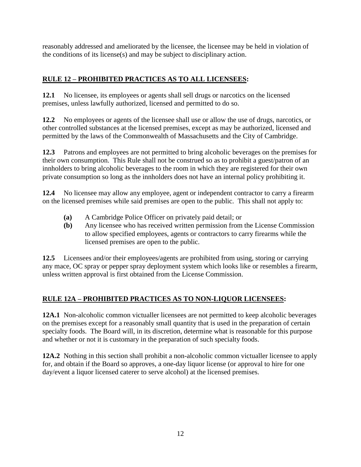reasonably addressed and ameliorated by the licensee, the licensee may be held in violation of the conditions of its license(s) and may be subject to disciplinary action.

## **RULE 12 – PROHIBITED PRACTICES AS TO ALL LICENSEES:**

**12.1** No licensee, its employees or agents shall sell drugs or narcotics on the licensed premises, unless lawfully authorized, licensed and permitted to do so.

**12.2** No employees or agents of the licensee shall use or allow the use of drugs, narcotics, or other controlled substances at the licensed premises, except as may be authorized, licensed and permitted by the laws of the Commonwealth of Massachusetts and the City of Cambridge.

**12.3** Patrons and employees are not permitted to bring alcoholic beverages on the premises for their own consumption. This Rule shall not be construed so as to prohibit a guest/patron of an innholders to bring alcoholic beverages to the room in which they are registered for their own private consumption so long as the innholders does not have an internal policy prohibiting it.

**12.4** No licensee may allow any employee, agent or independent contractor to carry a firearm on the licensed premises while said premises are open to the public. This shall not apply to:

- **(a)** A Cambridge Police Officer on privately paid detail; or
- **(b)** Any licensee who has received written permission from the License Commission to allow specified employees, agents or contractors to carry firearms while the licensed premises are open to the public.

**12.5** Licensees and/or their employees/agents are prohibited from using, storing or carrying any mace, OC spray or pepper spray deployment system which looks like or resembles a firearm, unless written approval is first obtained from the License Commission.

## **RULE 12A – PROHIBITED PRACTICES AS TO NON-LIQUOR LICENSEES:**

**12A.1** Non-alcoholic common victualler licensees are not permitted to keep alcoholic beverages on the premises except for a reasonably small quantity that is used in the preparation of certain specialty foods. The Board will, in its discretion, determine what is reasonable for this purpose and whether or not it is customary in the preparation of such specialty foods.

**12A.2** Nothing in this section shall prohibit a non-alcoholic common victualler licensee to apply for, and obtain if the Board so approves, a one-day liquor license (or approval to hire for one day/event a liquor licensed caterer to serve alcohol) at the licensed premises.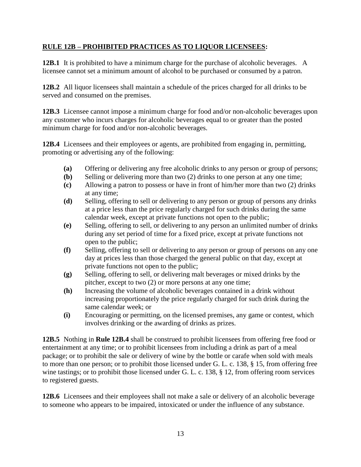#### **RULE 12B – PROHIBITED PRACTICES AS TO LIQUOR LICENSEES:**

**12B.1** It is prohibited to have a minimum charge for the purchase of alcoholic beverages. A licensee cannot set a minimum amount of alcohol to be purchased or consumed by a patron.

**12B.2** All liquor licensees shall maintain a schedule of the prices charged for all drinks to be served and consumed on the premises.

**12B.3** Licensee cannot impose a minimum charge for food and/or non-alcoholic beverages upon any customer who incurs charges for alcoholic beverages equal to or greater than the posted minimum charge for food and/or non-alcoholic beverages.

**12B.4** Licensees and their employees or agents, are prohibited from engaging in, permitting, promoting or advertising any of the following:

- **(a)** Offering or delivering any free alcoholic drinks to any person or group of persons;
- **(b)** Selling or delivering more than two (2) drinks to one person at any one time;
- **(c)** Allowing a patron to possess or have in front of him/her more than two (2) drinks at any time;
- **(d)** Selling, offering to sell or delivering to any person or group of persons any drinks at a price less than the price regularly charged for such drinks during the same calendar week, except at private functions not open to the public;
- **(e)** Selling, offering to sell, or delivering to any person an unlimited number of drinks during any set period of time for a fixed price, except at private functions not open to the public;
- **(f)** Selling, offering to sell or delivering to any person or group of persons on any one day at prices less than those charged the general public on that day, except at private functions not open to the public;
- **(g)** Selling, offering to sell, or delivering malt beverages or mixed drinks by the pitcher, except to two (2) or more persons at any one time;
- **(h)** Increasing the volume of alcoholic beverages contained in a drink without increasing proportionately the price regularly charged for such drink during the same calendar week; or
- **(i)** Encouraging or permitting, on the licensed premises, any game or contest, which involves drinking or the awarding of drinks as prizes.

**12B.5** Nothing in **Rule 12B.4** shall be construed to prohibit licensees from offering free food or entertainment at any time; or to prohibit licensees from including a drink as part of a meal package; or to prohibit the sale or delivery of wine by the bottle or carafe when sold with meals to more than one person; or to prohibit those licensed under G. L. c. 138, § 15, from offering free wine tastings; or to prohibit those licensed under G. L. c. 138, § 12, from offering room services to registered guests.

**12B.6** Licensees and their employees shall not make a sale or delivery of an alcoholic beverage to someone who appears to be impaired, intoxicated or under the influence of any substance.